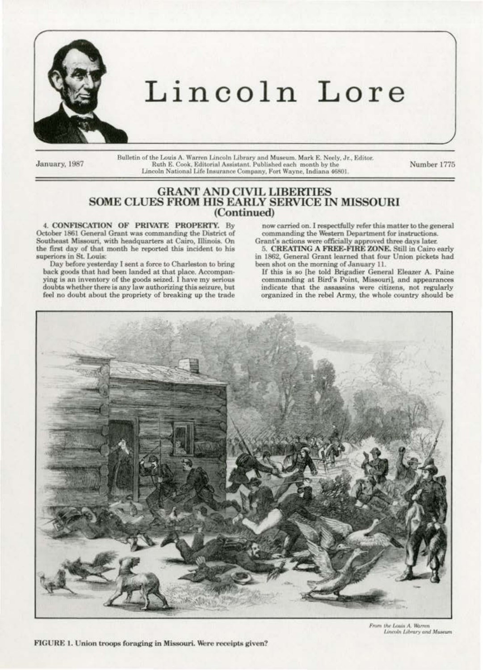

# Lincoln Lore

January, 1987

Bulletin of the Louis A. Warren Lincoln Library and Museum. Mark E. Neely, Jr., Editor.<br>Ruth E. Cook, Editorial Assistant. Published each month by the Lincoln National Life Insurance Company, Fort Wayne, Indiana 46801.

Number 1775

# **GRANT AND CIVIL LIBERTIES<br>SOME CLUES FROM HIS EARLY SERVICE IN MISSOURI** (Continued)

4. CONFISCATION OF PRIVATE PROPERTY. By October 1861 General Grant was commanding the District of Southeast Missouri, with headquarters at Cairo, Illinois. On the first day of that month he reported this incident to his superiors in St. Louis:

Day before yesterday I sent a force to Charleston to bring back goods that had been landed at that place. Accompanying is an inventory of the goods seized. I have my serious doubts whether there is any law authorizing this seizure, but feel no doubt about the propriety of breaking up the trade

now carried on. I respectfully refer this matter to the general commanding the Western Department for instructions. Grant's actions were officially approved three days later.

5. CREATING A FREE-FIRE ZONE. Still in Cairo early in 1862, General Grant learned that four Union pickets had been shot on the morning of January 11.

If this is so [he told Brigadier General Eleazer A. Paine commanding at Bird's Point, Missouri], and appearances indicate that the assassins were citizens, not regularly organized in the rebel Army, the whole country should be



From the Louis A. Warren<br>Lincoln Library and Museum

FIGURE 1. Union troops foraging in Missouri. Were receipts given?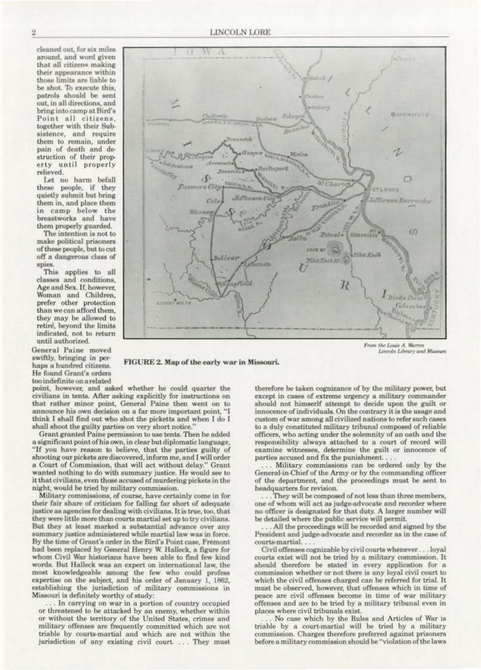cleaned out, for six miles around, and word given that all citizens making their appearance within those limits are liable to be shot. To execute this, patrols should be sent out, in all directions, and bring into camp at Bird's Point all citizens, together with their Subsistence, and require them to remain, under pain of death and destruction of their property until properly relieved.

Let no harm befall<br>these people, if they quietly submit but bring them in, and place them in camp below the<br>breastworks and have them properly guarded.

The intention is not to make political prisoners of these people, but to cut off a dangerous class of spies.

This applies to all classes and conditions. Age and Sex. If, however, Woman and Children, prefer other protection than we can afford them, they may be allowed to<br>retire, beyond the limits indicated, not to return until authorized.

General Paine moved swiftly, bringing in perhaps a hundred citizens. He found Grant's orders too indefinite on a related



From the Louis A. Warren<br>Lincoln Library and Museum

### FIGURE 2. Map of the early war in Missouri.

point, however, and asked whether he could quarter the civilians in tents. After asking explicitly for instructions on that rather minor point, General Paine then went on to announce his own decision on a far more important point, "I think I shall find out who shot the picketts and when I do I shall shoot the guilty parties on very short notice.

Grant granted Paine permission to use tents. Then he added a significant point of his own, in clear but diplomatic language, "If you have reason to believe, that the parties guilty of shooting our pickets are discovered, inform me, and I will order a Court of Commission, that will act without delay." Grant wanted nothing to do with summary justice. He would see to it that civilians, even those accused of murdering pickets in the night, would be tried by military commission.

Military commissions, of course, have certainly come in for their fair share of criticism for falling far short of adequate justice as agencies for dealing with civilians. It is true, too, that they were little more than courts martial set up to try civilians. But they at least marked a substantial advance over any summary justice administered while martial law was in force. By the time of Grant's order in the Bird's Point case, Fremont had been replaced by General Henry W. Halleck, a figure for whom Civil War historians have been able to find few kind words. But Halleck was an expert on international law, the most knowledgeable among the few who could profess expertise on the subject, and his order of January 1, 1862, establishing the jurisdiction of military commissions in Missouri is definitely worthy of study:

. In carrying on war in a portion of country occupied or threatened to be attacked by an enemy, whether within or without the territory of the United States, crimes and military offenses are frequently committed which are not triable by courts-martial and which are not within the jurisdiction of any existing civil court. ... They must therefore be taken cognizance of by the military power, but except in cases of extreme urgency a military commander should not himserlf attempt to decide upon the guilt or innocence of individuals. On the contrary it is the usage and custom of war among all civilized nations to refer such cases to a duly constituted military tribunal composed of reliable officers, who acting under the solemnity of an oath and the responsibility always attached to a court of record will examine witnesses, determine the guilt or innocence of parties accused and fix the punishment...

... Military commissions can be ordered only by the General-in-Chief of the Army or by the commanding officer of the department, and the proceedings must be sent to headquarters for revision.

. They will be composed of not less than three members, one of whom will act as judge-advocate and recorder where no officer is designated for that duty. A larger number will be detailed where the public service will permit.

.. All the proceedings will be recorded and signed by the President and judge-advocate and recorder as in the case of courts-martial...

Civil offenses cognizable by civil courts whenever. . . loyal courts exist will not be tried by a military commission. It should therefore be stated in every application for a commission whether or not there is any loyal civil court to which the civil offenses charged can be referred for trial. It must be observed, however, that offenses which in time of peace are civil offenses become in time of war military offenses and are to be tried by a military tribunal even in places where civil tribunals exist.

No case which by the Rules and Articles of War is triable by a court-martial will be tried by a military commission. Charges therefore preferred against prisoners before a military commission should be "violation of the laws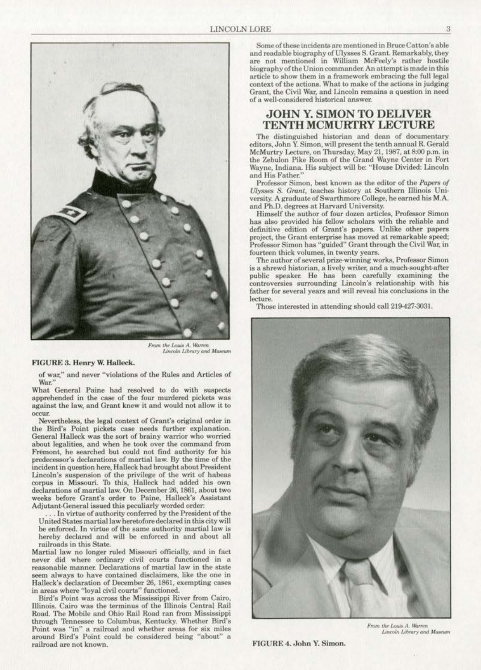

*From the Louis A. Warren*<br>Lincoln Library and Museum

### FIGURE 3. Henry W. Halleck.

of war," and never "violations of the Rules and Articles of War."

What General Paine had resolved to do with suspects apprehended in the case of the four murdered pickets was against the law, and Grant knew it and would not. allow it to

Nevertheless, the legal context of Grant's original order in the Bird's Point pickets case needs further explanation. General Ha11eek was the sort of brainy warrior who worried about legalities, and when he took over the command from Fremont, he searched but could not find authority for his predecessor's declarations of martial law. By the time of the incident in question here, Halleck had brought about President Lincoln's suspension of the privilege of the writ of habeas corpus in Missouri. To this, Halleck bad added bis own declarations of martial law. On December 26, 1861, about two weeks before Grant's order to Paine, Halleck's Assistant Adjutant-General issued this peculiarly worded order:

. In virtue of authority conferred by the President of the United States martial law heretofore declared in this city will be enforced. ln virtue of the same authority martial law is hereby declared and will be enforced in and about all railroads in this State.<br>Martial law no longer ruled Missouri officially, and in fact

never did where ordinary civil courts functioned in a reasonable manner. Declarations of martial law in the state seem always to have contained disclaimers. like the one in Halleck's declaration of December 26, 1861, exempting cases in areas where "loyal civil courts'' functioned.

Sird's Point was across the Mississippi River from Cairo, Dlinois. Cairo was the terminus of the Illinois Central Rail Road. The Mobile and Ohio Rail Road ran from Mississippi through Tennessee to Columbus, Kentucky. Whether Bird's Point was '"in" a railroad and wbcther areas for six miles around Bird's Point could be considered being ''about" a railroad are not known.

Some of these incidents are mentioned in Bruce Catton's able are not mentioned in William McFeely's rather hostile biography of the Union commander. An attempt is made in this article to show them in a framework embracing the full legal context of the actions. What to make of the actions in judging Grant, the Civil War. and Lincoln remains a question in need of a well-considered historical answer.

### **JOHN Y. SIMON TO DELIVER** TENTH MCMURTRY LECTURE

The distinguished historian and dean of documentary editors. John Y. Simon, will present the tenth annual R. Gerald McMurtry Lecture, on Thursday, May 21, 1987, at 8:00 p.m. in the Zebulon Pike Room of the Grand Wayne Center in Fort Wayne, Indiana. His subject will be: "House Divided: Lincoln and His Father.'

Professor Simon, best known as the editor of the *Papers of Ulysses S. Grant, teaches history at Southern Illinois Uni*versity. A graduate of Swarthmore College, he earned his M.A. and Ph.O. degrees at Harvard University.

Himself the author of four dozen articles, Professor Simon has also provided his fellow scholars with the reliable and definitive edition of Grant's papers. Unlike other papers project, the Grant enterprise has moved at remarkable speed; Professor Simon has "guided" Grant through the Civil War. in fourteen thick volumes, in twenty years.

The author of several prize.winning works., Professor Simon is a shrewd historian, a lively writer, and a much-sought-after public speaker. He has been carefully examining the controversies surrounding Lincoln's relationship with his father for several years and will reveal his conclusions in the lecture.

Those interested in attending should call 219-427·3031.



From the Louis A. Warren Lincoln Library and Museum

FIGURE 4. John Y. Simon.